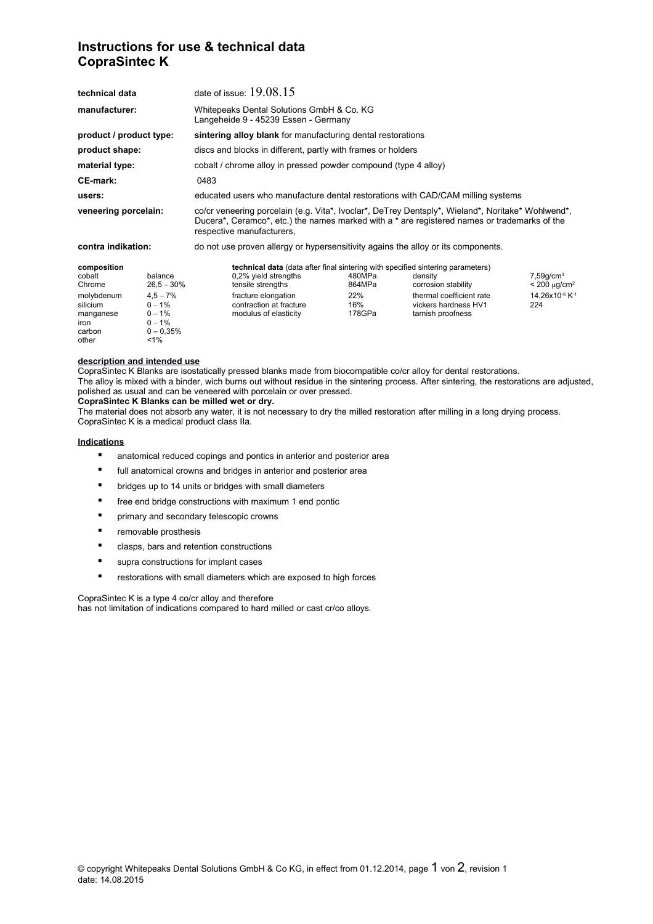# **Instructions for use & technical data CopraSintec K**

| technical data                                                                                    |                                                                                                     | date of issue: $19.08.15$                                                                                                                                                                                                      |                                                                                                                                                                                                                |                                          |                                                                                                         |                                                                                                 |
|---------------------------------------------------------------------------------------------------|-----------------------------------------------------------------------------------------------------|--------------------------------------------------------------------------------------------------------------------------------------------------------------------------------------------------------------------------------|----------------------------------------------------------------------------------------------------------------------------------------------------------------------------------------------------------------|------------------------------------------|---------------------------------------------------------------------------------------------------------|-------------------------------------------------------------------------------------------------|
| manufacturer:                                                                                     |                                                                                                     | Whitepeaks Dental Solutions GmbH & Co. KG<br>Langeheide 9 - 45239 Essen - Germany                                                                                                                                              |                                                                                                                                                                                                                |                                          |                                                                                                         |                                                                                                 |
| product / product type:                                                                           |                                                                                                     | sintering alloy blank for manufacturing dental restorations                                                                                                                                                                    |                                                                                                                                                                                                                |                                          |                                                                                                         |                                                                                                 |
| product shape:                                                                                    |                                                                                                     | discs and blocks in different, partly with frames or holders                                                                                                                                                                   |                                                                                                                                                                                                                |                                          |                                                                                                         |                                                                                                 |
| material type:                                                                                    |                                                                                                     | cobalt / chrome alloy in pressed powder compound (type 4 alloy)                                                                                                                                                                |                                                                                                                                                                                                                |                                          |                                                                                                         |                                                                                                 |
| <b>CE-mark:</b>                                                                                   |                                                                                                     | 0483                                                                                                                                                                                                                           |                                                                                                                                                                                                                |                                          |                                                                                                         |                                                                                                 |
| users:                                                                                            |                                                                                                     | educated users who manufacture dental restorations with CAD/CAM milling systems                                                                                                                                                |                                                                                                                                                                                                                |                                          |                                                                                                         |                                                                                                 |
| veneering porcelain:                                                                              |                                                                                                     | co/cr veneering porcelain (e.g. Vita*, Ivoclar*, DeTrey Dentsply*, Wieland*, Noritake* Wohlwend*,<br>Ducera*, Ceramco*, etc.) the names marked with a * are registered names or trademarks of the<br>respective manufacturers, |                                                                                                                                                                                                                |                                          |                                                                                                         |                                                                                                 |
| contra indikation:                                                                                |                                                                                                     | do not use proven allergy or hypersensitivity agains the alloy or its components.                                                                                                                                              |                                                                                                                                                                                                                |                                          |                                                                                                         |                                                                                                 |
| composition<br>cobalt<br>Chrome<br>molybdenum<br>silicium<br>manganese<br>iron<br>carbon<br>other | balance<br>$26.5 - 30\%$<br>$4.5 - 7\%$<br>$0 - 1%$<br>$0 - 1%$<br>$0 - 1%$<br>$0 - 0.35%$<br>$1\%$ |                                                                                                                                                                                                                                | <b>technical data</b> (data after final sintering with specified sintering parameters)<br>0,2% yield strengths<br>tensile strengths<br>fracture elongation<br>contraction at fracture<br>modulus of elasticity | 480MPa<br>864MPa<br>22%<br>16%<br>178GPa | density<br>corrosion stability<br>thermal coefficient rate<br>vickers hardness HV1<br>tarnish proofness | $7,59$ g/cm <sup>3</sup><br>$< 200 \mu g/cm^2$<br>14,26x10 <sup>-6</sup> K <sup>-1</sup><br>224 |

#### **description and intended use**

CopraSintec K Blanks are isostatically pressed blanks made from biocompatible co/cr alloy for dental restorations. The alloy is mixed with a binder, wich burns out without residue in the sintering process. After sintering, the restorations are adjusted, polished as usual and can be veneered with porcelain or over pressed.

### **CopraSintec K Blanks can be milled wet or dry.**

The material does not absorb any water, it is not necessary to dry the milled restoration after milling in a long drying process. CopraSintec K is a medical product class IIa.

#### **Indications**

- anatomical reduced copings and pontics in anterior and posterior area
- full anatomical crowns and bridges in anterior and posterior area
- bridges up to 14 units or bridges with small diameters
- free end bridge constructions with maximum 1 end pontic
- **•** primary and secondary telescopic crowns
- removable prosthesis
- clasps, bars and retention constructions
- supra constructions for implant cases
- restorations with small diameters which are exposed to high forces

CopraSintec K is a type 4 co/cr alloy and therefore has not limitation of indications compared to hard milled or cast cr/co alloys.